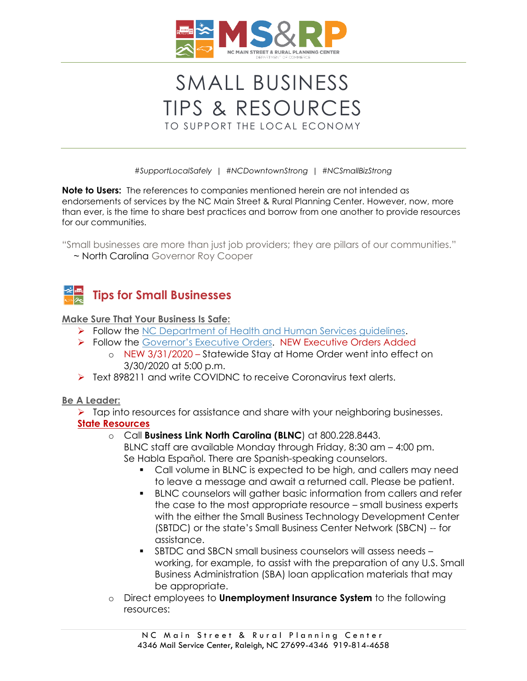

# SMALL BUSINESS TIPS & RESOURCES TO SUPPORT THE LOCAL ECONOMY

*#SupportLocalSafely | #NCDowntownStrong | #NCSmallBizStrong*

**Note to Users:** The references to companies mentioned herein are not intended as endorsements of services by the NC Main Street & Rural Planning Center. However, now, more than ever, is the time to share best practices and borrow from one another to provide resources for our communities.

"Small businesses are more than just job providers; they are pillars of our communities."

*~* North Carolina Governor Roy Cooper



#### **Make Sure That Your Business Is Safe:**

- ➢ Follow the [NC Department of Health and Human Services guidelines.](https://www.ncdhhs.gov/divisions/public-health/coronavirus-disease-2019-covid-19-response-north-carolina/businesses-employers)
- ➢ Follow the [Governor's Executive Orders](https://governor.nc.gov/news/executive-orders). NEW Executive Orders Added
	- o NEW 3/31/2020 Statewide Stay at Home Order went into effect on 3/30/2020 at 5:00 p.m.
- ➢ Text 898211 and write COVIDNC to receive Coronavirus text alerts.

#### **Be A Leader:**

➢ Tap into resources for assistance and share with your neighboring businesses. **State Resources**

#### o Call **Business Link North Carolina (BLNC**) at 800.228.8443.

BLNC staff are available Monday through Friday, 8:30 am – 4:00 pm. Se Habla Español. There are Spanish-speaking counselors.

- Call volume in BLNC is expected to be high, and callers may need to leave a message and await a returned call. Please be patient.
- BLNC counselors will gather basic information from callers and refer the case to the most appropriate resource – small business experts with the either the Small Business Technology Development Center (SBTDC) or the state's Small Business Center Network (SBCN) -- for assistance.
- SBTDC and SBCN small business counselors will assess needs working, for example, to assist with the preparation of any U.S. Small Business Administration (SBA) loan application materials that may be appropriate.
- o Direct employees to **Unemployment Insurance System** to the following resources: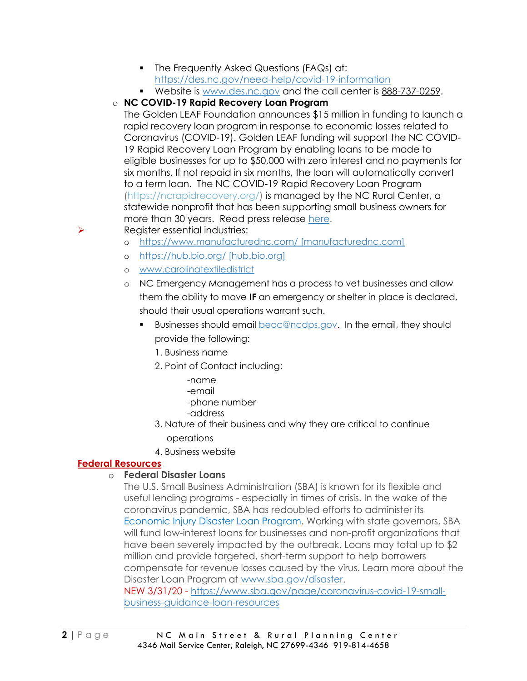- **•** The Frequently Asked Questions (FAQs) at: <https://des.nc.gov/need-help/covid-19-information>
- Website is [www.des.nc.gov](http://www.des.nc.gov/) and the call center is [888-737-0259.](tel:888-737-0259)

## o **NC COVID-19 Rapid Recovery Loan Program**

The Golden LEAF Foundation announces \$15 million in funding to launch a rapid recovery loan program in response to economic losses related to Coronavirus (COVID-19). Golden LEAF funding will support the NC COVID-19 Rapid Recovery Loan Program by enabling loans to be made to eligible businesses for up to \$50,000 with zero interest and no payments for six months. If not repaid in six months, the loan will automatically convert to a term loan. The NC COVID-19 Rapid Recovery Loan Program [\(https://ncrapidrecovery.org/\)](https://ncrapidrecovery.org/) is managed by the NC Rural Center, a statewide nonprofit that has been supporting small business owners for more than 30 years. Read press release [here.](https://www.goldenleaf.org/news/golden-leaf-deploys-15m-for-nc-covid-19-rapid-recovery-loan-program/)

- ➢ Register essential industries:
	- o [https://www.manufacturednc.com/ \[manufacturednc.com\]](https://www.manufacturednc.com/%20%5bmanufacturednc.com%5d)
	- o [https://hub.bio.org/ \[hub.bio.org\]](https://hub.bio.org/%20%5bhub.bio.org%5d)
	- o [www.carolinatextiledistrict](http://www.carolinatextiledistrict/)
	- o NC Emergency Management has a process to vet businesses and allow them the ability to move **IF** an emergency or shelter in place is declared, should their usual operations warrant such.
		- Businesses should email **[beoc@ncdps.gov.](mailto:beoc@ncdps.gov)** In the email, they should provide the following:
			- 1. Business name
			- 2. Point of Contact including:
				- -name -email -phone number
				- -address
			- 3. Nature of their business and why they are critical to continue operations
			- 4. Business website

## **Federal Resources**

## o **Federal Disaster Loans**

The U.S. Small Business Administration (SBA) is known for its flexible and useful lending programs - especially in times of crisis. In the wake of the coronavirus pandemic, SBA has redoubled efforts to administer its [Economic Injury Disaster Loan Program.](https://www.sba.gov/funding-programs/disaster-assistance) Working with state governors, SBA will fund low-interest loans for businesses and non-profit organizations that have been severely impacted by the outbreak. Loans may total up to \$2 million and provide targeted, short-term support to help borrowers compensate for revenue losses caused by the virus. Learn more about the Disaster Loan Program at [www.sba.gov/disaster.](http://www.sba.gov/disaster)

NEW 3/31/20 - [https://www.sba.gov/page/coronavirus-covid-19-small](https://www.sba.gov/page/coronavirus-covid-19-small-business-guidance-loan-resources)[business-guidance-loan-resources](https://www.sba.gov/page/coronavirus-covid-19-small-business-guidance-loan-resources)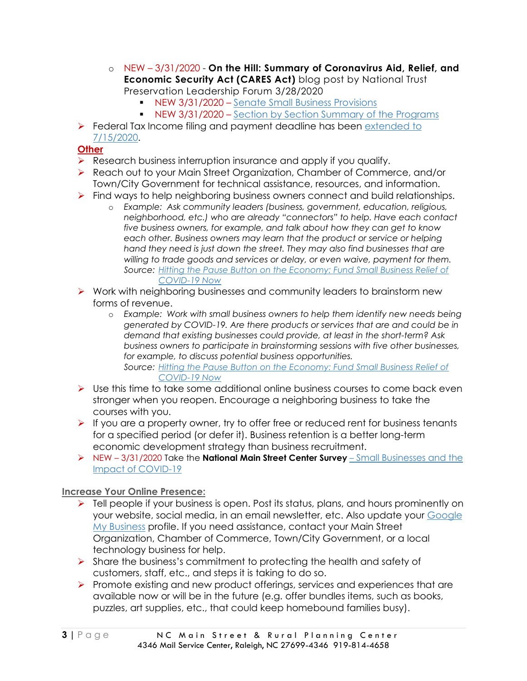- o NEW 3/31/2020 **On the Hill: Summary of Coronavirus Aid, Relief, and Economic Security Act (CARES Act)** blog post by National Trust Preservation Leadership Forum 3/28/2020
	- **EXEGGG 12020 [Senate Small Business Provisions](https://higherlogicdownload.s3.amazonaws.com/SAVINGPLACES/UploadedImages/67a11cfb-d556-4219-8ce3-18bb19ba4bb7/Coronavirus/200325StimulusSmallBizEXPLAINER-FINAL.pdf)**
	- NEW 3/31/2020 [Section by Section Summary of the Programs](https://higherlogicdownload.s3.amazonaws.com/SAVINGPLACES/UploadedImages/67a11cfb-d556-4219-8ce3-18bb19ba4bb7/Coronavirus/200325StimulusSmallBizSectionBySection-FINAL.pdf)
- ➢ Federal Tax Income filing and payment deadline has been [extended to](https://www.irs.gov/newsroom/tax-day-now-july-15-treasury-irs-extend-filing-deadline-and-federal-tax-payments-regardless-of-amount-owed)  [7/15/2020.](https://www.irs.gov/newsroom/tax-day-now-july-15-treasury-irs-extend-filing-deadline-and-federal-tax-payments-regardless-of-amount-owed)

## **Other**

- $\triangleright$  Research business interruption insurance and apply if you qualify.
- ➢ Reach out to your Main Street Organization, Chamber of Commerce, and/or Town/City Government for technical assistance, resources, and information.
- ➢ Find ways to help neighboring business owners connect and build relationships.
	- o *Example: Ask community leaders (business, government, education, religious, neighborhood, etc.) who are already "connectors" to help. Have each contact five business owners, for example, and talk about how they can get to know each other. Business owners may learn that the product or service or helping hand they need is just down the street. They may also find businesses that are willing to trade goods and services or delay, or even waive, payment for them. Source: [Hitting the Pause Button on the Economy: Fund Small Business Relief of](https://www.recastcity.com/blog-source/2020/3/15/hitting-the-pause-button-on-the-economy-fund-small-business-relief-for-covid-19-now)  [COVID-19 Now](https://www.recastcity.com/blog-source/2020/3/15/hitting-the-pause-button-on-the-economy-fund-small-business-relief-for-covid-19-now)*
- ➢ Work with neighboring businesses and community leaders to brainstorm new forms of revenue.
	- o *Example: Work with small business owners to help them identify new needs being generated by COVID-19. Are there products or services that are and could be in demand that existing businesses could provide, at least in the short-term? Ask business owners to participate in brainstorming sessions with five other businesses, for example, to discuss potential business opportunities.*

*Source: [Hitting the Pause Button on the Economy: Fund Small Business Relief of](https://www.recastcity.com/blog-source/2020/3/15/hitting-the-pause-button-on-the-economy-fund-small-business-relief-for-covid-19-now)  [COVID-19 Now](https://www.recastcity.com/blog-source/2020/3/15/hitting-the-pause-button-on-the-economy-fund-small-business-relief-for-covid-19-now)*

- $\triangleright$  Use this time to take some additional online business courses to come back even stronger when you reopen. Encourage a neighboring business to take the courses with you.
- $\triangleright$  If you are a property owner, try to offer free or reduced rent for business tenants for a specified period (or defer it). Business retention is a better long-term economic development strategy than business recruitment.
- ➢ NEW 3/31/2020 Take the **National Main Street Center Survey**  [Small Businesses and the](https://www.surveymonkey.com/r/6K96DHF?fbclid=IwAR3k6v13jz5qmAADqn1wEKvJxrsOWVQZ_mp3V04tYPQwv_KY0MEuJUoIFZs)  [Impact of COVID-19](https://www.surveymonkey.com/r/6K96DHF?fbclid=IwAR3k6v13jz5qmAADqn1wEKvJxrsOWVQZ_mp3V04tYPQwv_KY0MEuJUoIFZs)

## **Increase Your Online Presence:**

- ➢ Tell people if your business is open. Post its status, plans, and hours prominently on your website, social media, in an email newsletter, etc. Also update your [Google](https://www.google.com/business/go/businessprofile/?gmbsrc=us-en_US-ha-se-z-gmb-s-219-h~z-z-u&ppsrc=GMBS0&utm_campaign=us-en_US-ha-se-z-gmb-s-219-h~z-z-u&utm_source=gmb&utm_medium=ha&&gmbsrc=&ppsrc=&gclid=EAIaIQobChMImqzP7ZOn6AIVBXiGCh0M8w_pEAAYASAAEgKJZ_D_BwE)  [My Business](https://www.google.com/business/go/businessprofile/?gmbsrc=us-en_US-ha-se-z-gmb-s-219-h~z-z-u&ppsrc=GMBS0&utm_campaign=us-en_US-ha-se-z-gmb-s-219-h~z-z-u&utm_source=gmb&utm_medium=ha&&gmbsrc=&ppsrc=&gclid=EAIaIQobChMImqzP7ZOn6AIVBXiGCh0M8w_pEAAYASAAEgKJZ_D_BwE) profile. If you need assistance, contact your Main Street Organization, Chamber of Commerce, Town/City Government, or a local technology business for help.
- ➢ Share the business's commitment to protecting the health and safety of customers, staff, etc., and steps it is taking to do so.
- ➢ Promote existing and new product offerings, services and experiences that are available now or will be in the future (e.g. offer bundles items, such as books, puzzles, art supplies, etc., that could keep homebound families busy).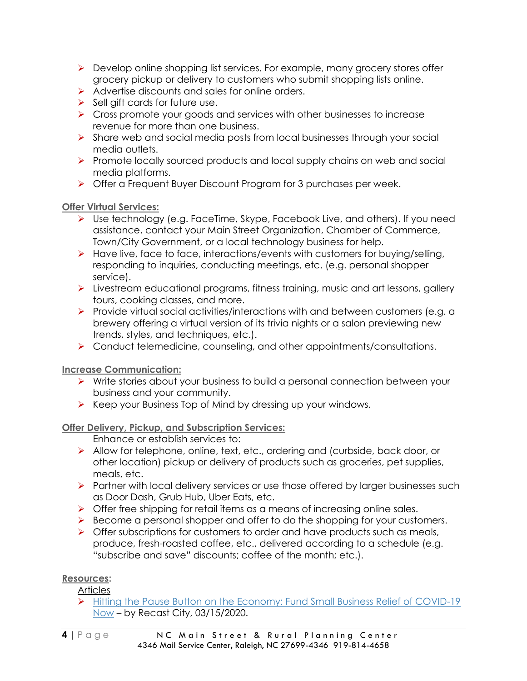- ➢ Develop online shopping list services. For example, many grocery stores offer grocery pickup or delivery to customers who submit shopping lists online.
- ➢ Advertise discounts and sales for online orders.
- $\triangleright$  Sell gift cards for future use.
- ➢ Cross promote your goods and services with other businesses to increase revenue for more than one business.
- ➢ Share web and social media posts from local businesses through your social media outlets.
- ➢ Promote locally sourced products and local supply chains on web and social media platforms.
- ➢ Offer a Frequent Buyer Discount Program for 3 purchases per week.

## **Offer Virtual Services:**

- ➢ Use technology (e.g. FaceTime, Skype, Facebook Live, and others). If you need assistance, contact your Main Street Organization, Chamber of Commerce, Town/City Government, or a local technology business for help.
- ➢ Have live, face to face, interactions/events with customers for buying/selling, responding to inquiries, conducting meetings, etc. (e.g. personal shopper service).
- ➢ Livestream educational programs, fitness training, music and art lessons, gallery tours, cooking classes, and more.
- ➢ Provide virtual social activities/interactions with and between customers (e.g. a brewery offering a virtual version of its trivia nights or a salon previewing new trends, styles, and techniques, etc.).
- ➢ Conduct telemedicine, counseling, and other appointments/consultations.

## **Increase Communication:**

- ➢ Write stories about your business to build a personal connection between your business and your community.
- ➢ Keep your Business Top of Mind by dressing up your windows.

## **Offer Delivery, Pickup, and Subscription Services:**

Enhance or establish services to:

- ➢ Allow for telephone, online, text, etc., ordering and (curbside, back door, or other location) pickup or delivery of products such as groceries, pet supplies, meals, etc.
- ➢ Partner with local delivery services or use those offered by larger businesses such as Door Dash, Grub Hub, Uber Eats, etc.
- $\triangleright$  Offer free shipping for retail items as a means of increasing online sales.
- ➢ Become a personal shopper and offer to do the shopping for your customers.
- $\triangleright$  Offer subscriptions for customers to order and have products such as meals, produce, fresh-roasted coffee, etc., delivered according to a schedule (e.g. "subscribe and save" discounts; coffee of the month; etc.).

## **Resources:**

Articles

➢ [Hitting the Pause Button on the Economy: Fund Small Business Relief of COVID-19](https://www.recastcity.com/blog-source/2020/3/15/hitting-the-pause-button-on-the-economy-fund-small-business-relief-for-covid-19-now)  [Now](https://www.recastcity.com/blog-source/2020/3/15/hitting-the-pause-button-on-the-economy-fund-small-business-relief-for-covid-19-now) – by Recast City, 03/15/2020.